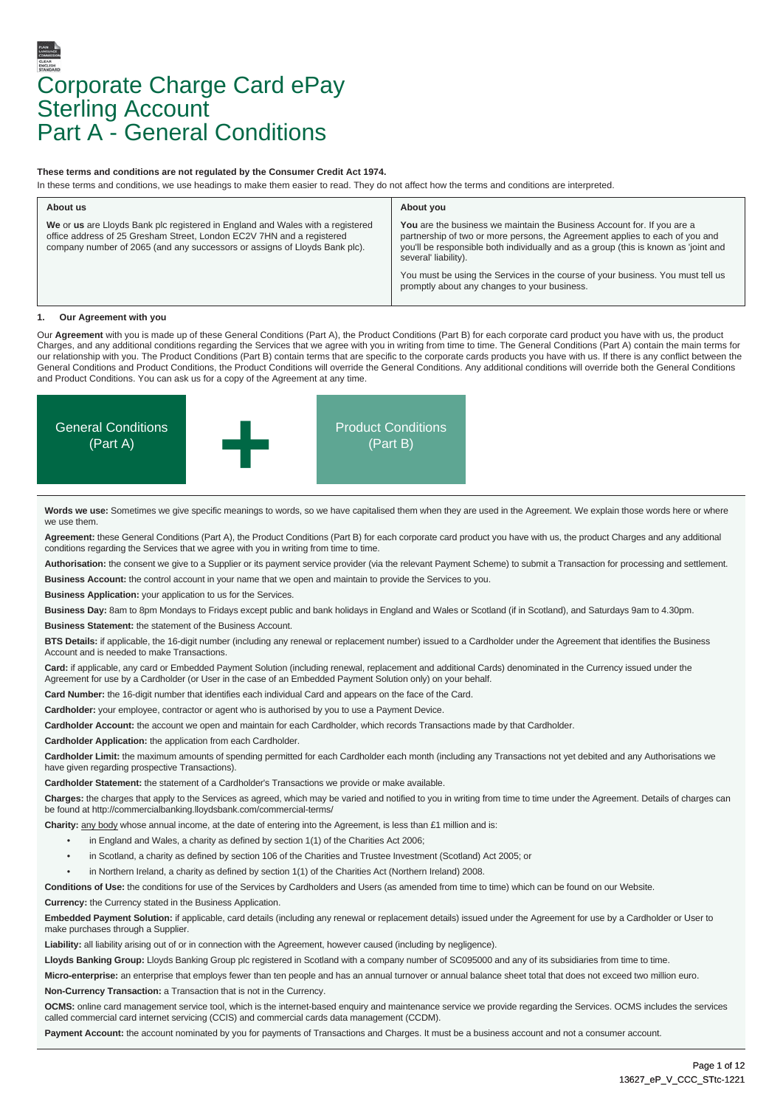# Corporate Charge Card ePay **Sterling Account** Part A - General Conditions

#### **These terms and conditions are not regulated by the Consumer Credit Act 1974.**

In these terms and conditions, we use headings to make them easier to read. They do not affect how the terms and conditions are interpreted.

| About us                                                                                                                                                                                                                              | About you                                                                                                                                                                                                                                                              |  |
|---------------------------------------------------------------------------------------------------------------------------------------------------------------------------------------------------------------------------------------|------------------------------------------------------------------------------------------------------------------------------------------------------------------------------------------------------------------------------------------------------------------------|--|
| We or us are Lloyds Bank plc registered in England and Wales with a registered<br>office address of 25 Gresham Street, London EC2V 7HN and a registered<br>company number of 2065 (and any successors or assigns of Lloyds Bank plc). | You are the business we maintain the Business Account for. If you are a<br>partnership of two or more persons, the Agreement applies to each of you and<br>you'll be responsible both individually and as a group (this is known as 'joint and<br>several' liability). |  |
|                                                                                                                                                                                                                                       | You must be using the Services in the course of your business. You must tell us<br>promptly about any changes to your business.                                                                                                                                        |  |

#### *<u>Our Agreement with you</u>*

Our **Agreement** with you is made up of these General Conditions (Part A), the Product Conditions (Part B) for each corporate card product you have with us, the product Charges, and any additional conditions regarding the Services that we agree with you in writing from time to time. The General Conditions (Part A) contain the main terms for our relationship with you. The Product Conditions (Part B) contain terms that are specific to the corporate cards products you have with us. If there is any conflict between the General Conditions and Product Conditions, the Product Conditions will override the General Conditions. Any additional conditions will override both the General Conditions and Product Conditions. You can ask us for a copy of the Agreement at any time.



**Words we use:** Sometimes we give specific meanings to words, so we have capitalised them when they are used in the Agreement. We explain those words here or where we use them.

**Agreement:** these General Conditions (Part A), the Product Conditions (Part B) for each corporate card product you have with us, the product Charges and any additional conditions regarding the Services that we agree with you in writing from time to time.

**Authorisation:** the consent we give to a Supplier or its payment service provider (via the relevant Payment Scheme) to submit a Transaction for processing and settlement.

**Business Account:** the control account in your name that we open and maintain to provide the Services to you.

**Business Application:** your application to us for the Services.

**Business Day:** 8am to 8pm Mondays to Fridays except public and bank holidays in England and Wales or Scotland (if in Scotland), and Saturdays 9am to 4.30pm. **Business Statement:** the statement of the Business Account.

**BTS Details:** if applicable, the 16-digit number (including any renewal or replacement number) issued to a Cardholder under the Agreement that identifies the Business Account and is needed to make Transactions.

**Card:** if applicable, any card or Embedded Payment Solution (including renewal, replacement and additional Cards) denominated in the Currency issued under the Agreement for use by a Cardholder (or User in the case of an Embedded Payment Solution only) on your behalf.

**Card Number:** the 16-digit number that identifies each individual Card and appears on the face of the Card.

**Cardholder:** your employee, contractor or agent who is authorised by you to use a Payment Device.

**Cardholder Account:** the account we open and maintain for each Cardholder, which records Transactions made by that Cardholder.

**Cardholder Application:** the application from each Cardholder.

Cardholder Limit: the maximum amounts of spending permitted for each Cardholder each month (including any Transactions not yet debited and any Authorisations we have given regarding prospective Transactions).

**Cardholder Statement:** the statement of a Cardholder's Transactions we provide or make available.

**Charges:** the charges that apply to the Services as agreed, which may be varied and notified to you in writing from time to time under the Agreement. Details of charges can be found at http://commercialbanking.lloydsbank.com/commercial-terms/

Charity: any body whose annual income, at the date of entering into the Agreement, is less than £1 million and is:

- in England and Wales, a charity as defined by section 1(1) of the Charities Act 2006;
- in Scotland, a charity as defined by section 106 of the Charities and Trustee Investment (Scotland) Act 2005; or
- in Northern Ireland, a charity as defined by section 1(1) of the Charities Act (Northern Ireland) 2008.

**Conditions of Use:** the conditions for use of the Services by Cardholders and Users (as amended from time to time) which can be found on our Website. **Currency:** the Currency stated in the Business Application.

**Embedded Payment Solution:** if applicable, card details (including any renewal or replacement details) issued under the Agreement for use by a Cardholder or User to make purchases through a Supplier.

**Liability:** all liability arising out of or in connection with the Agreement, however caused (including by negligence).

Lloyds Banking Group: Lloyds Banking Group plc registered in Scotland with a company number of SC095000 and any of its subsidiaries from time to time.

Micro-enterprise: an enterprise that employs fewer than ten people and has an annual turnover or annual balance sheet total that does not exceed two million euro. **Non-Currency Transaction:** a Transaction that is not in the Currency.

**OCMS:** online card management service tool, which is the internet-based enquiry and maintenance service we provide regarding the Services. OCMS includes the services called commercial card internet servicing (CCIS) and commercial cards data management (CCDM).

Payment Account: the account nominated by you for payments of Transactions and Charges. It must be a business account and not a consumer account.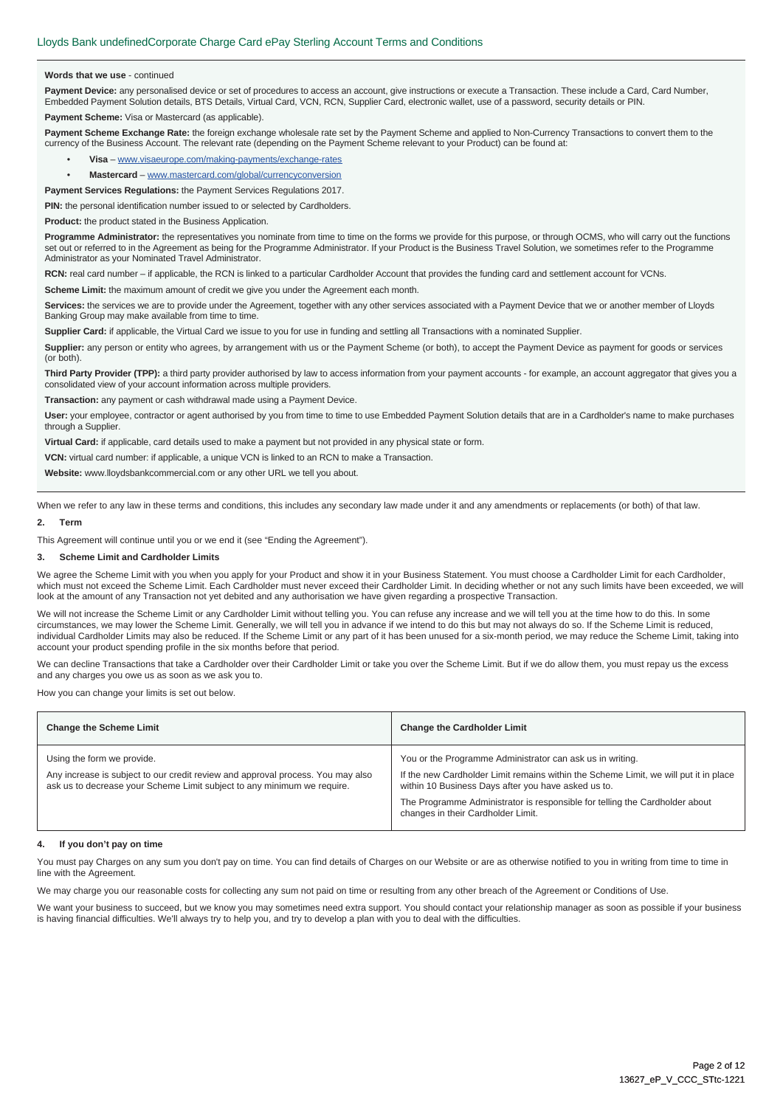#### **Words that we use** - continued

Payment Device: any personalised device or set of procedures to access an account, give instructions or execute a Transaction. These include a Card, Card Number, Embedded Payment Solution details, BTS Details, Virtual Card, VCN, RCN, Supplier Card, electronic wallet, use of a password, security details or PIN.

**Payment Scheme:** Visa or Mastercard (as applicable).

Payment Scheme Exchange Rate: the foreign exchange wholesale rate set by the Payment Scheme and applied to Non-Currency Transactions to convert them to the currency of the Business Account. The relevant rate (depending on the Payment Scheme relevant to your Product) can be found at:

- **Visa** www.visaeurope.com/making-payments/exchange-rates
- **Mastercard** www.mastercard.com/global/currencyconversion

**Payment Services Regulations:** the Payment Services Regulations 2017.

**PIN:** the personal identification number issued to or selected by Cardholders.

**Product:** the product stated in the Business Application.

**Programme Administrator:** the representatives you nominate from time to time on the forms we provide for this purpose, or through OCMS, who will carry out the functions set out or referred to in the Agreement as being for the Programme Administrator. If your Product is the Business Travel Solution, we sometimes refer to the Programme Administrator as your Nominated Travel Administrator.

**RCN:** real card number – if applicable, the RCN is linked to a particular Cardholder Account that provides the funding card and settlement account for VCNs.

**Scheme Limit:** the maximum amount of credit we give you under the Agreement each month.

**Services:** the services we are to provide under the Agreement, together with any other services associated with a Payment Device that we or another member of Lloyds Banking Group may make available from time to time.

**Supplier Card:** if applicable, the Virtual Card we issue to you for use in funding and settling all Transactions with a nominated Supplier.

Supplier: any person or entity who agrees, by arrangement with us or the Payment Scheme (or both), to accept the Payment Device as payment for goods or services (or both).

Third Party Provider (TPP): a third party provider authorised by law to access information from your payment accounts - for example, an account aggregator that gives you a consolidated view of your account information across multiple providers.

**Transaction:** any payment or cash withdrawal made using a Payment Device.

**User:** your employee, contractor or agent authorised by you from time to time to use Embedded Payment Solution details that are in a Cardholder's name to make purchases through a Supplier.

**Virtual Card:** if applicable, card details used to make a payment but not provided in any physical state or form.

**VCN:** virtual card number: if applicable, a unique VCN is linked to an RCN to make a Transaction.

**Website:** www.lloydsbankcommercial.com or any other URL we tell you about.

When we refer to any law in these terms and conditions, this includes any secondary law made under it and any amendments or replacements (or both) of that law.

### **2. Term**

This Agreement will continue until you or we end it (see "Ending the Agreement").

#### **3. Scheme Limit and Cardholder Limits**

We agree the Scheme Limit with you when you apply for your Product and show it in your Business Statement. You must choose a Cardholder Limit for each Cardholder, which must not exceed the Scheme Limit. Each Cardholder must never exceed their Cardholder Limit. In deciding whether or not any such limits have been exceeded, we will look at the amount of any Transaction not yet debited and any authorisation we have given regarding a prospective Transaction.

We will not increase the Scheme Limit or any Cardholder Limit without telling you. You can refuse any increase and we will tell you at the time how to do this. In some circumstances, we may lower the Scheme Limit. Generally, we will tell you in advance if we intend to do this but may not always do so. If the Scheme Limit is reduced, individual Cardholder Limits may also be reduced. If the Scheme Limit or any part of it has been unused for a six-month period, we may reduce the Scheme Limit, taking into account your product spending profile in the six months before that period.

We can decline Transactions that take a Cardholder over their Cardholder Limit or take you over the Scheme Limit. But if we do allow them, you must repay us the excess and any charges you owe us as soon as we ask you to.

How you can change your limits is set out below.

| <b>Change the Scheme Limit</b>                                                                                                                                                           | <b>Change the Cardholder Limit</b>                                                                                                                                                                                                                                                                                            |
|------------------------------------------------------------------------------------------------------------------------------------------------------------------------------------------|-------------------------------------------------------------------------------------------------------------------------------------------------------------------------------------------------------------------------------------------------------------------------------------------------------------------------------|
| Using the form we provide.<br>Any increase is subject to our credit review and approval process. You may also<br>ask us to decrease your Scheme Limit subject to any minimum we require. | You or the Programme Administrator can ask us in writing.<br>If the new Cardholder Limit remains within the Scheme Limit, we will put it in place<br>within 10 Business Days after you have asked us to.<br>The Programme Administrator is responsible for telling the Cardholder about<br>changes in their Cardholder Limit. |

#### **4. If you don't pay on time**

You must pay Charges on any sum you don't pay on time. You can find details of Charges on our Website or are as otherwise notified to you in writing from time to time in line with the Agreement.

We may charge you our reasonable costs for collecting any sum not paid on time or resulting from any other breach of the Agreement or Conditions of Use.

We want your business to succeed, but we know you may sometimes need extra support. You should contact your relationship manager as soon as possible if your business is having financial difficulties. We'll always try to help you, and try to develop a plan with you to deal with the difficulties.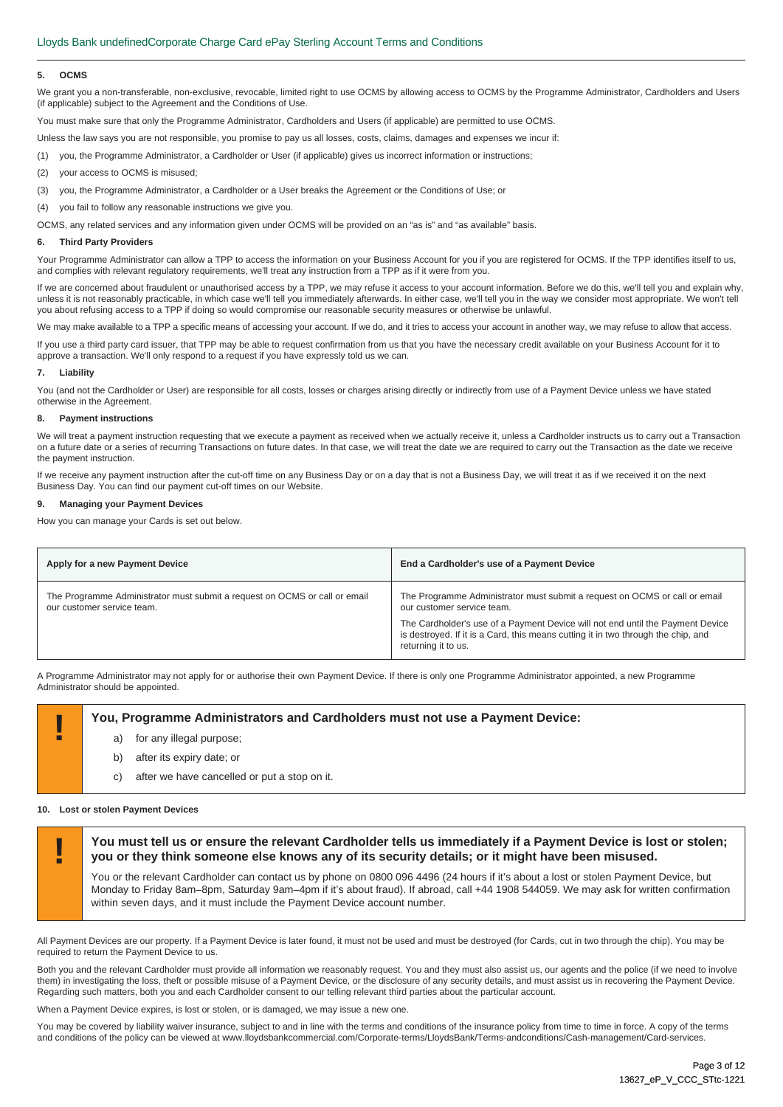#### **5. OCMS**

We grant you a non-transferable, non-exclusive, revocable, limited right to use OCMS by allowing access to OCMS by the Programme Administrator, Cardholders and Users (if applicable) subject to the Agreement and the Conditions of Use.

You must make sure that only the Programme Administrator, Cardholders and Users (if applicable) are permitted to use OCMS.

Unless the law says you are not responsible, you promise to pay us all losses, costs, claims, damages and expenses we incur if:

(1) you, the Programme Administrator, a Cardholder or User (if applicable) gives us incorrect information or instructions;

- (2) your access to OCMS is misused;
- (3) you, the Programme Administrator, a Cardholder or a User breaks the Agreement or the Conditions of Use; or

(4) you fail to follow any reasonable instructions we give you.

OCMS, any related services and any information given under OCMS will be provided on an "as is" and "as available" basis.

#### **6. Third Party Providers**

Your Programme Administrator can allow a TPP to access the information on your Business Account for you if you are registered for OCMS. If the TPP identifies itself to us, and complies with relevant regulatory requirements, we'll treat any instruction from a TPP as if it were from you.

If we are concerned about fraudulent or unauthorised access by a TPP, we may refuse it access to your account information. Before we do this, we'll tell you and explain why, unless it is not reasonably practicable, in which case we'll tell you immediately afterwards. In either case, we'll tell you in the way we consider most appropriate. We won't tell you about refusing access to a TPP if doing so would compromise our reasonable security measures or otherwise be unlawful.

We may make available to a TPP a specific means of accessing your account. If we do, and it tries to access your account in another way, we may refuse to allow that access.

If you use a third party card issuer, that TPP may be able to request confirmation from us that you have the necessary credit available on your Business Account for it to approve a transaction. We'll only respond to a request if you have expressly told us we can.

#### **7. Liability**

You (and not the Cardholder or User) are responsible for all costs, losses or charges arising directly or indirectly from use of a Payment Device unless we have stated otherwise in the Agreement.

#### **8. Payment instructions**

We will treat a payment instruction requesting that we execute a payment as received when we actually receive it, unless a Cardholder instructs us to carry out a Transaction on a future date or a series of recurring Transactions on future dates. In that case, we will treat the date we are required to carry out the Transaction as the date we receive the payment instruction.

If we receive any payment instruction after the cut-off time on any Business Day or on a day that is not a Business Day, we will treat it as if we received it on the next Business Day. You can find our payment cut-off times on our Website.

#### **9. Managing your Payment Devices**

How you can manage your Cards is set out below.

|                                                                                                                                                                                                                                                                                                                                      | End a Cardholder's use of a Payment Device                                 |
|--------------------------------------------------------------------------------------------------------------------------------------------------------------------------------------------------------------------------------------------------------------------------------------------------------------------------------------|----------------------------------------------------------------------------|
| The Programme Administrator must submit a request on OCMS or call or email<br>our customer service team.<br>our customer service team.<br>The Cardholder's use of a Payment Device will not end until the Payment Device<br>is destroyed. If it is a Card, this means cutting it in two through the chip, and<br>returning it to us. | The Programme Administrator must submit a request on OCMS or call or email |

A Programme Administrator may not apply for or authorise their own Payment Device. If there is only one Programme Administrator appointed, a new Programme Administrator should be appointed.

# **! You, Programme Administrators and Cardholders must not use a Payment Device:**

- for any illegal purpose;
- b) after its expiry date; or
- c) after we have cancelled or put a stop on it.

#### **10. Lost or stolen Payment Devices**

**! You must tell us or ensure the relevant Cardholder tells us immediately if a Payment Device is lost or stolen; you or they think someone else knows any of its security details; or it might have been misused.** 

You or the relevant Cardholder can contact us by phone on 0800 096 4496 (24 hours if it's about a lost or stolen Payment Device, but Monday to Friday 8am–8pm, Saturday 9am–4pm if it's about fraud). If abroad, call +44 1908 544059. We may ask for written confirmation within seven days, and it must include the Payment Device account number.

All Payment Devices are our property. If a Payment Device is later found, it must not be used and must be destroyed (for Cards, cut in two through the chip). You may be required to return the Payment Device to us.

Both you and the relevant Cardholder must provide all information we reasonably request. You and they must also assist us, our agents and the police (if we need to involve them) in investigating the loss, theft or possible misuse of a Payment Device, or the disclosure of any security details, and must assist us in recovering the Payment Device. Regarding such matters, both you and each Cardholder consent to our telling relevant third parties about the particular account.

When a Payment Device expires, is lost or stolen, or is damaged, we may issue a new one

You may be covered by liability waiver insurance, subject to and in line with the terms and conditions of the insurance policy from time to time in force. A copy of the terms and conditions of the policy can be viewed at www.lloydsbankcommercial.com/Corporate-terms/LloydsBank/Terms-andconditions/Cash-management/Card-services.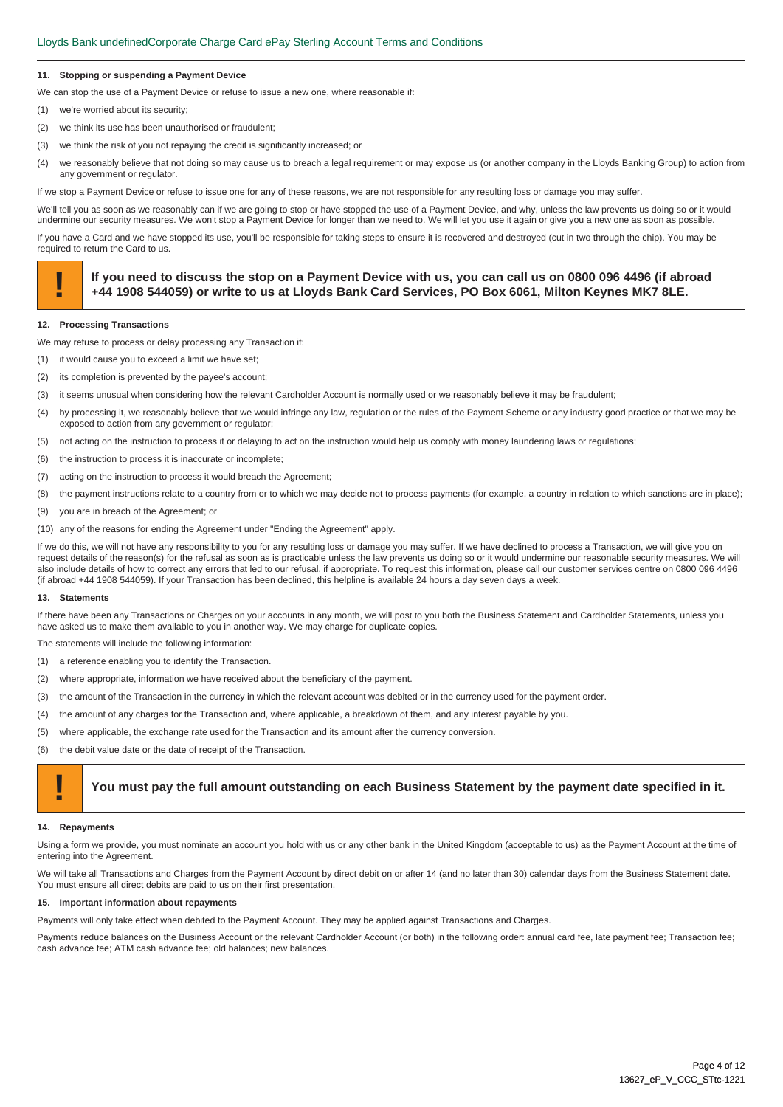#### **11. Stopping or suspending a Payment Device**

We can stop the use of a Payment Device or refuse to issue a new one, where reasonable if:

- (1) we're worried about its security;
- (2) we think its use has been unauthorised or fraudulent;
- (3) we think the risk of you not repaying the credit is significantly increased; or
- (4) we reasonably believe that not doing so may cause us to breach a legal requirement or may expose us (or another company in the Lloyds Banking Group) to action from any government or regulator.

If we stop a Payment Device or refuse to issue one for any of these reasons, we are not responsible for any resulting loss or damage you may suffer.

We'll tell you as soon as we reasonably can if we are going to stop or have stopped the use of a Payment Device, and why, unless the law prevents us doing so or it would undermine our security measures. We won't stop a Payment Device for longer than we need to. We will let you use it again or give you a new one as soon as possible.

If you have a Card and we have stopped its use, you'll be responsible for taking steps to ensure it is recovered and destroyed (cut in two through the chip). You may be required to return the Card to us.

# If you need to discuss the stop on a Payment Device with us, you can call us on 0800 096 4496 (if abroad +44 1908 544059) or write to us at Lloyds Bank Card Services, PO Box 6061, Milton Keynes MK7 8LE.

#### **12. Processing Transactions**

We may refuse to process or delay processing any Transaction if:

- (1) it would cause you to exceed a limit we have set;
- (2) its completion is prevented by the payee's account;
- (3) it seems unusual when considering how the relevant Cardholder Account is normally used or we reasonably believe it may be fraudulent;
- (4) by processing it, we reasonably believe that we would infringe any law, regulation or the rules of the Payment Scheme or any industry good practice or that we may be exposed to action from any government or regulator;
- (5) not acting on the instruction to process it or delaying to act on the instruction would help us comply with money laundering laws or regulations;
- (6) the instruction to process it is inaccurate or incomplete;
- (7) acting on the instruction to process it would breach the Agreement;
- (8) the payment instructions relate to a country from or to which we may decide not to process payments (for example, a country in relation to which sanctions are in place);
- (9) you are in breach of the Agreement; or
- (10) any of the reasons for ending the Agreement under "Ending the Agreement" apply.

If we do this, we will not have any responsibility to you for any resulting loss or damage you may suffer. If we have declined to process a Transaction, we will give you on request details of the reason(s) for the refusal as soon as is practicable unless the law prevents us doing so or it would undermine our reasonable security measures. We will also include details of how to correct any errors that led to our refusal, if appropriate. To request this information, please call our customer services centre on 0800 096 4496 (if abroad +44 1908 544059). If your Transaction has been declined, this helpline is available 24 hours a day seven days a week.

#### **13. Statements**

If there have been any Transactions or Charges on your accounts in any month, we will post to you both the Business Statement and Cardholder Statements, unless you have asked us to make them available to you in another way. We may charge for duplicate copies.

The statements will include the following information:

- (1) a reference enabling you to identify the Transaction.
- (2) where appropriate, information we have received about the beneficiary of the payment.
- (3) the amount of the Transaction in the currency in which the relevant account was debited or in the currency used for the payment order.
- (4) the amount of any charges for the Transaction and, where applicable, a breakdown of them, and any interest payable by you.
- (5) where applicable, the exchange rate used for the Transaction and its amount after the currency conversion.
- (6) the debit value date or the date of receipt of the Transaction.

# **! You must pay the full amount outstanding on each Business Statement by the payment date specified in it.**

#### **14. Repayments**

Using a form we provide, you must nominate an account you hold with us or any other bank in the United Kingdom (acceptable to us) as the Payment Account at the time of entering into the Agreement.

We will take all Transactions and Charges from the Payment Account by direct debit on or after 14 (and no later than 30) calendar days from the Business Statement date. You must ensure all direct debits are paid to us on their first presentation.

#### **15. Important information about repayments**

Payments will only take effect when debited to the Payment Account. They may be applied against Transactions and Charges.

Payments reduce balances on the Business Account or the relevant Cardholder Account (or both) in the following order: annual card fee, late payment fee; Transaction fee; cash advance fee; ATM cash advance fee; old balances; new balances.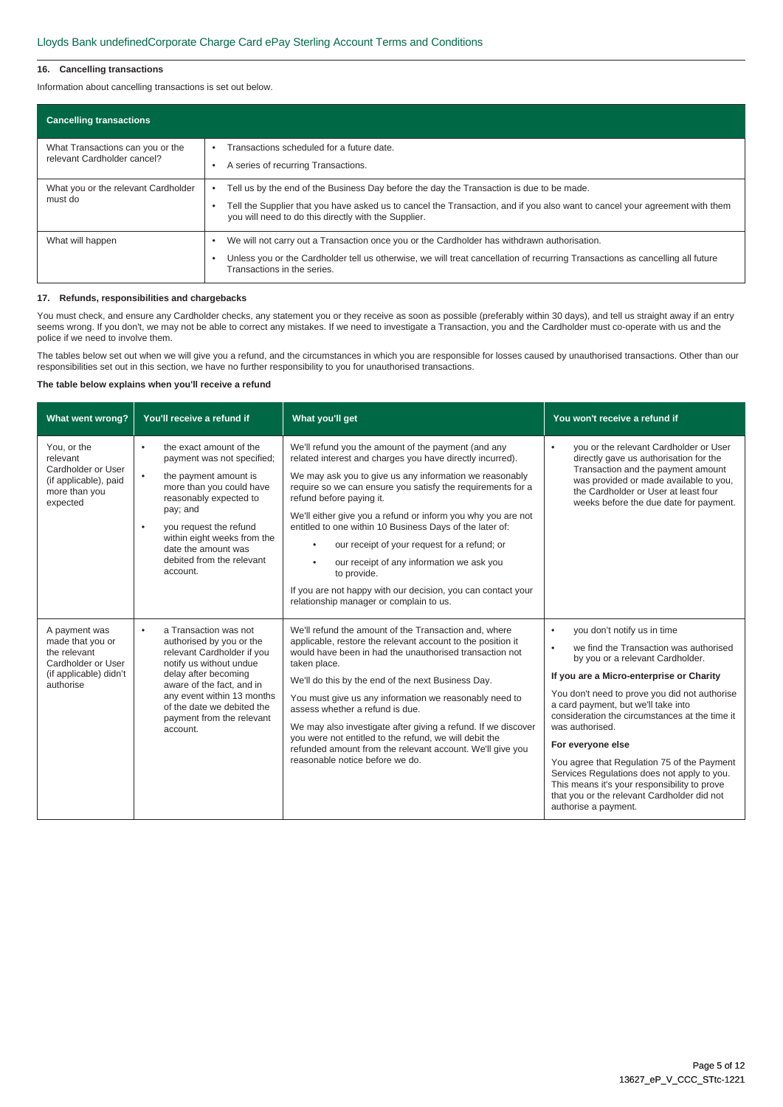#### **16. Cancelling transactions**

Information about cancelling transactions is set out below.

| <b>Cancelling transactions</b>                                  |                                                                                                                                                                                                                                                                                 |
|-----------------------------------------------------------------|---------------------------------------------------------------------------------------------------------------------------------------------------------------------------------------------------------------------------------------------------------------------------------|
| What Transactions can you or the<br>relevant Cardholder cancel? | Transactions scheduled for a future date.<br>A series of recurring Transactions.                                                                                                                                                                                                |
| What you or the relevant Cardholder<br>must do                  | Tell us by the end of the Business Day before the day the Transaction is due to be made.<br>Tell the Supplier that you have asked us to cancel the Transaction, and if you also want to cancel your agreement with them<br>you will need to do this directly with the Supplier. |
| What will happen                                                | We will not carry out a Transaction once you or the Cardholder has withdrawn authorisation.<br>Unless you or the Cardholder tell us otherwise, we will treat cancellation of recurring Transactions as cancelling all future<br>Transactions in the series.                     |

#### **17. Refunds, responsibilities and chargebacks**

You must check, and ensure any Cardholder checks, any statement you or they receive as soon as possible (preferably within 30 days), and tell us straight away if an entry seems wrong. If you don't, we may not be able to correct any mistakes. If we need to investigate a Transaction, you and the Cardholder must co-operate with us and the police if we need to involve them.

The tables below set out when we will give you a refund, and the circumstances in which you are responsible for losses caused by unauthorised transactions. Other than our responsibilities set out in this section, we have no further responsibility to you for unauthorised transactions.

# **The table below explains when you'll receive a refund**

| What went wrong?                                                                                               | You'll receive a refund if                                                                                                                                                                                                                                                                               | What you'll get                                                                                                                                                                                                                                                                                                                                                                                                                                                                                                                                                                                                                                     | You won't receive a refund if                                                                                                                                                                                                                                                                                                                                                                                                                                                                                                                                                  |
|----------------------------------------------------------------------------------------------------------------|----------------------------------------------------------------------------------------------------------------------------------------------------------------------------------------------------------------------------------------------------------------------------------------------------------|-----------------------------------------------------------------------------------------------------------------------------------------------------------------------------------------------------------------------------------------------------------------------------------------------------------------------------------------------------------------------------------------------------------------------------------------------------------------------------------------------------------------------------------------------------------------------------------------------------------------------------------------------------|--------------------------------------------------------------------------------------------------------------------------------------------------------------------------------------------------------------------------------------------------------------------------------------------------------------------------------------------------------------------------------------------------------------------------------------------------------------------------------------------------------------------------------------------------------------------------------|
| You, or the<br>relevant<br>Cardholder or User<br>(if applicable), paid<br>more than you<br>expected            | the exact amount of the<br>٠<br>payment was not specified;<br>the payment amount is<br>$\bullet$<br>more than you could have<br>reasonably expected to<br>pay; and<br>you request the refund<br>$\bullet$<br>within eight weeks from the<br>date the amount was<br>debited from the relevant<br>account. | We'll refund you the amount of the payment (and any<br>related interest and charges you have directly incurred).<br>We may ask you to give us any information we reasonably<br>require so we can ensure you satisfy the requirements for a<br>refund before paying it.<br>We'll either give you a refund or inform you why you are not<br>entitled to one within 10 Business Days of the later of:<br>our receipt of your request for a refund; or<br>$\bullet$<br>our receipt of any information we ask you<br>$\bullet$<br>to provide.<br>If you are not happy with our decision, you can contact your<br>relationship manager or complain to us. | you or the relevant Cardholder or User<br>$\bullet$<br>directly gave us authorisation for the<br>Transaction and the payment amount<br>was provided or made available to you,<br>the Cardholder or User at least four<br>weeks before the due date for payment.                                                                                                                                                                                                                                                                                                                |
| A payment was<br>made that you or<br>the relevant<br>Cardholder or User<br>(if applicable) didn't<br>authorise | a Transaction was not<br>$\bullet$<br>authorised by you or the<br>relevant Cardholder if you<br>notify us without undue<br>delay after becoming<br>aware of the fact, and in<br>any event within 13 months<br>of the date we debited the<br>payment from the relevant<br>account.                        | We'll refund the amount of the Transaction and, where<br>applicable, restore the relevant account to the position it<br>would have been in had the unauthorised transaction not<br>taken place.<br>We'll do this by the end of the next Business Day.<br>You must give us any information we reasonably need to<br>assess whether a refund is due.<br>We may also investigate after giving a refund. If we discover<br>you were not entitled to the refund, we will debit the<br>refunded amount from the relevant account. We'll give you<br>reasonable notice before we do.                                                                       | you don't notify us in time<br>$\bullet$<br>we find the Transaction was authorised<br>٠<br>by you or a relevant Cardholder.<br>If you are a Micro-enterprise or Charity<br>You don't need to prove you did not authorise<br>a card payment, but we'll take into<br>consideration the circumstances at the time it<br>was authorised.<br>For everyone else<br>You agree that Regulation 75 of the Payment<br>Services Regulations does not apply to you.<br>This means it's your responsibility to prove<br>that you or the relevant Cardholder did not<br>authorise a payment. |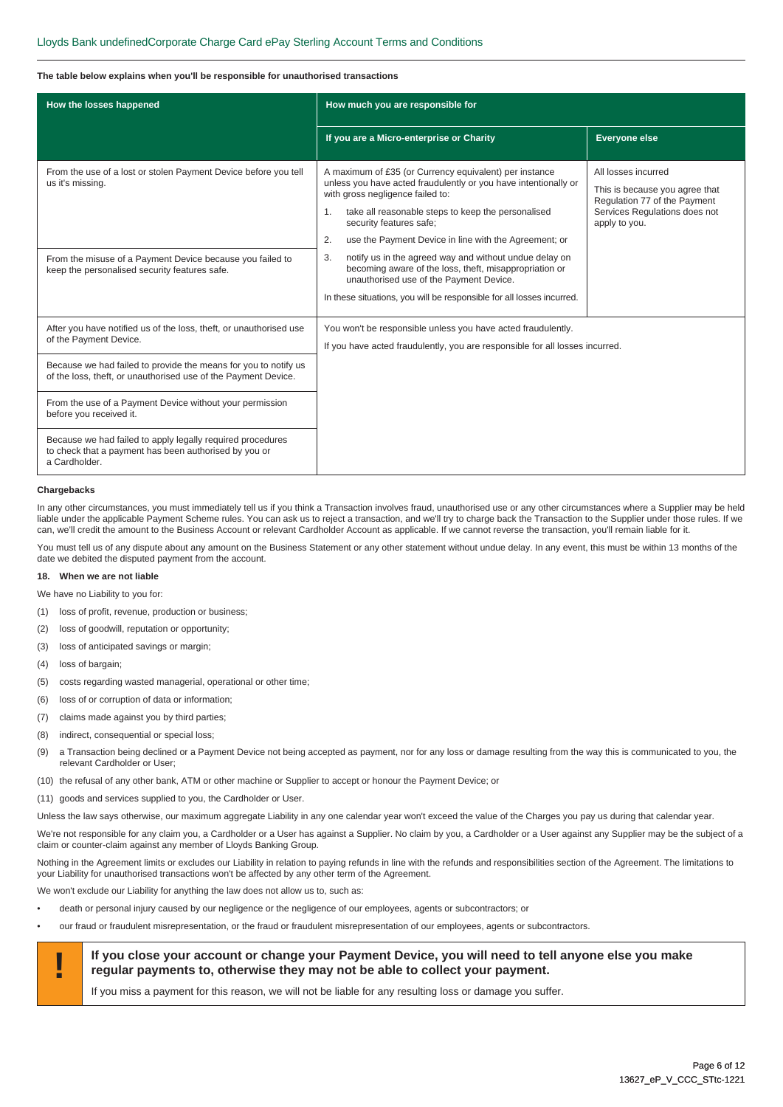#### **The table below explains when you'll be responsible for unauthorised transactions**

| How the losses happened                                                                                                              | How much you are responsible for                                                                                                                                                                                                                                                                                                |                                                                                                                                         |
|--------------------------------------------------------------------------------------------------------------------------------------|---------------------------------------------------------------------------------------------------------------------------------------------------------------------------------------------------------------------------------------------------------------------------------------------------------------------------------|-----------------------------------------------------------------------------------------------------------------------------------------|
|                                                                                                                                      | If you are a Micro-enterprise or Charity                                                                                                                                                                                                                                                                                        | Everyone else                                                                                                                           |
| From the use of a lost or stolen Payment Device before you tell<br>us it's missing.                                                  | A maximum of £35 (or Currency equivalent) per instance<br>unless you have acted fraudulently or you have intentionally or<br>with gross negligence failed to:<br>take all reasonable steps to keep the personalised<br>$\mathbf{1}$ .<br>security features safe;<br>use the Payment Device in line with the Agreement; or<br>2. | All losses incurred<br>This is because you agree that<br>Regulation 77 of the Payment<br>Services Regulations does not<br>apply to you. |
| From the misuse of a Payment Device because you failed to<br>keep the personalised security features safe.                           | notify us in the agreed way and without undue delay on<br>3.<br>becoming aware of the loss, theft, misappropriation or<br>unauthorised use of the Payment Device.<br>In these situations, you will be responsible for all losses incurred.                                                                                      |                                                                                                                                         |
| After you have notified us of the loss, theft, or unauthorised use<br>of the Payment Device.                                         | You won't be responsible unless you have acted fraudulently.<br>If you have acted fraudulently, you are responsible for all losses incurred.                                                                                                                                                                                    |                                                                                                                                         |
| Because we had failed to provide the means for you to notify us<br>of the loss, theft, or unauthorised use of the Payment Device.    |                                                                                                                                                                                                                                                                                                                                 |                                                                                                                                         |
| From the use of a Payment Device without your permission<br>before you received it.                                                  |                                                                                                                                                                                                                                                                                                                                 |                                                                                                                                         |
| Because we had failed to apply legally required procedures<br>to check that a payment has been authorised by you or<br>a Cardholder. |                                                                                                                                                                                                                                                                                                                                 |                                                                                                                                         |

#### **Chargebacks**

In any other circumstances, you must immediately tell us if you think a Transaction involves fraud, unauthorised use or any other circumstances where a Supplier may be held liable under the applicable Payment Scheme rules. You can ask us to reject a transaction, and we'll try to charge back the Transaction to the Supplier under those rules. If we can, we'll credit the amount to the Business Account or relevant Cardholder Account as applicable. If we cannot reverse the transaction, you'll remain liable for it.

You must tell us of any dispute about any amount on the Business Statement or any other statement without undue delay. In any event, this must be within 13 months of the date we debited the disputed payment from the account.

#### **18. When we are not liable**

We have no Liability to you for:

- (1) loss of profit, revenue, production or business;
- (2) loss of goodwill, reputation or opportunity;
- (3) loss of anticipated savings or margin;
- (4) loss of bargain;
- (5) costs regarding wasted managerial, operational or other time;
- (6) loss of or corruption of data or information;
- (7) claims made against you by third parties;
- (8) indirect, consequential or special loss;
- (9) a Transaction being declined or a Payment Device not being accepted as payment, nor for any loss or damage resulting from the way this is communicated to you, the relevant Cardholder or User;
- (10) the refusal of any other bank, ATM or other machine or Supplier to accept or honour the Payment Device; or
- (11) goods and services supplied to you, the Cardholder or User.

Unless the law says otherwise, our maximum aggregate Liability in any one calendar year won't exceed the value of the Charges you pay us during that calendar year.

We're not responsible for any claim you, a Cardholder or a User has against a Supplier. No claim by you, a Cardholder or a User against any Supplier may be the subject of a claim or counter-claim against any member of Lloyds Banking Group.

Nothing in the Agreement limits or excludes our Liability in relation to paying refunds in line with the refunds and responsibilities section of the Agreement. The limitations to your Liability for unauthorised transactions won't be affected by any other term of the Agreement.

We won't exclude our Liability for anything the law does not allow us to, such as:

- death or personal injury caused by our negligence or the negligence of our employees, agents or subcontractors; or
- our fraud or fraudulent misrepresentation, or the fraud or fraudulent misrepresentation of our employees, agents or subcontractors.



# **If you close your account or change your Payment Device, you will need to tell anyone else you make <br>
<b>If you close your account or change your Payment Device, you will need to tell anyone else you make regular payments to, otherwise they may not be able to collect your payment.**

If you miss a payment for this reason, we will not be liable for any resulting loss or damage you suffer.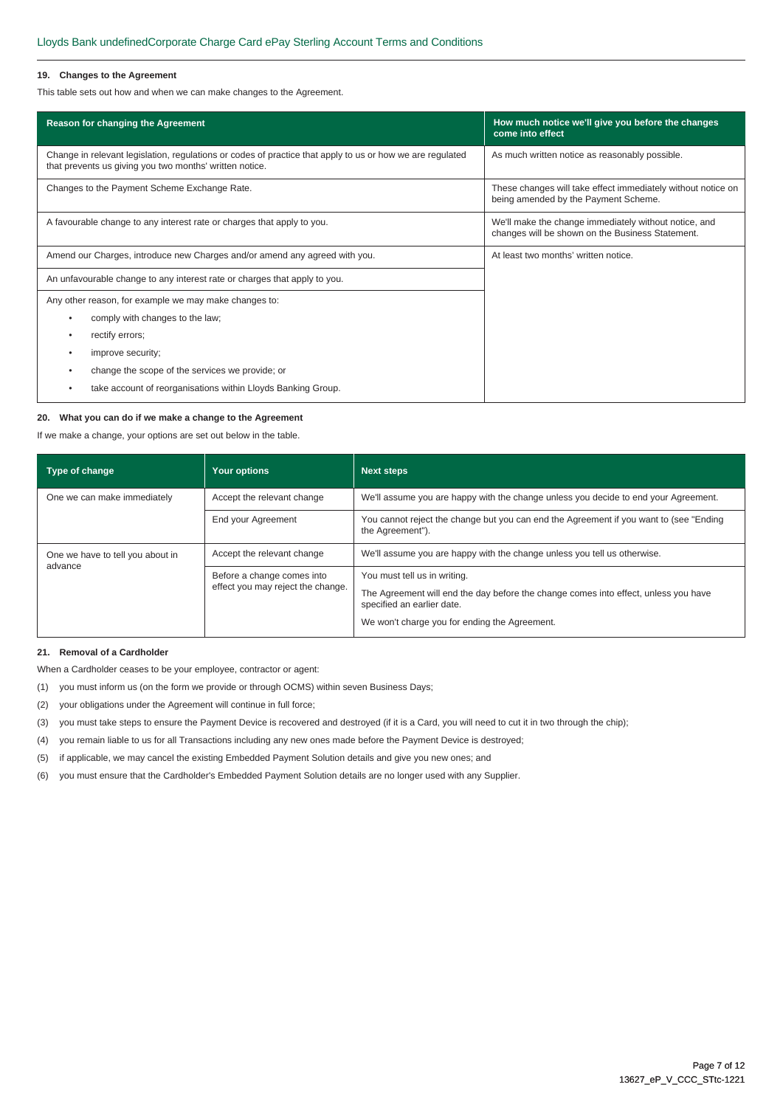### **19. Changes to the Agreement**

This table sets out how and when we can make changes to the Agreement.

| Reason for changing the Agreement                                                                                                                                    | How much notice we'll give you before the changes<br>come into effect                                     |  |
|----------------------------------------------------------------------------------------------------------------------------------------------------------------------|-----------------------------------------------------------------------------------------------------------|--|
| Change in relevant legislation, regulations or codes of practice that apply to us or how we are regulated<br>that prevents us giving you two months' written notice. | As much written notice as reasonably possible.                                                            |  |
| Changes to the Payment Scheme Exchange Rate.                                                                                                                         | These changes will take effect immediately without notice on<br>being amended by the Payment Scheme.      |  |
| A favourable change to any interest rate or charges that apply to you.                                                                                               | We'll make the change immediately without notice, and<br>changes will be shown on the Business Statement. |  |
| Amend our Charges, introduce new Charges and/or amend any agreed with you.                                                                                           | At least two months' written notice.                                                                      |  |
| An unfavourable change to any interest rate or charges that apply to you.                                                                                            |                                                                                                           |  |
| Any other reason, for example we may make changes to:                                                                                                                |                                                                                                           |  |
| comply with changes to the law;<br>٠                                                                                                                                 |                                                                                                           |  |
| rectify errors;<br>٠                                                                                                                                                 |                                                                                                           |  |
| improve security;<br>٠                                                                                                                                               |                                                                                                           |  |
| change the scope of the services we provide; or                                                                                                                      |                                                                                                           |  |
| take account of reorganisations within Lloyds Banking Group.                                                                                                         |                                                                                                           |  |

#### **20. What you can do if we make a change to the Agreement**

If we make a change, your options are set out below in the table.

| Type of change                              | <b>Your options</b>                                             | <b>Next steps</b>                                                                                                                                                                                  |  |
|---------------------------------------------|-----------------------------------------------------------------|----------------------------------------------------------------------------------------------------------------------------------------------------------------------------------------------------|--|
| One we can make immediately                 | Accept the relevant change                                      | We'll assume you are happy with the change unless you decide to end your Agreement.                                                                                                                |  |
|                                             | End your Agreement                                              | You cannot reject the change but you can end the Agreement if you want to (see "Ending"<br>the Agreement").                                                                                        |  |
| One we have to tell you about in<br>advance | Accept the relevant change                                      | We'll assume you are happy with the change unless you tell us otherwise.                                                                                                                           |  |
|                                             | Before a change comes into<br>effect you may reject the change. | You must tell us in writing.<br>The Agreement will end the day before the change comes into effect, unless you have<br>specified an earlier date.<br>We won't charge you for ending the Agreement. |  |

# **21. Removal of a Cardholder**

When a Cardholder ceases to be your employee, contractor or agent:

- (1) you must inform us (on the form we provide or through OCMS) within seven Business Days;
- (2) your obligations under the Agreement will continue in full force;
- (3) you must take steps to ensure the Payment Device is recovered and destroyed (if it is a Card, you will need to cut it in two through the chip);
- (4) you remain liable to us for all Transactions including any new ones made before the Payment Device is destroyed;
- (5) if applicable, we may cancel the existing Embedded Payment Solution details and give you new ones; and
- (6) you must ensure that the Cardholder's Embedded Payment Solution details are no longer used with any Supplier.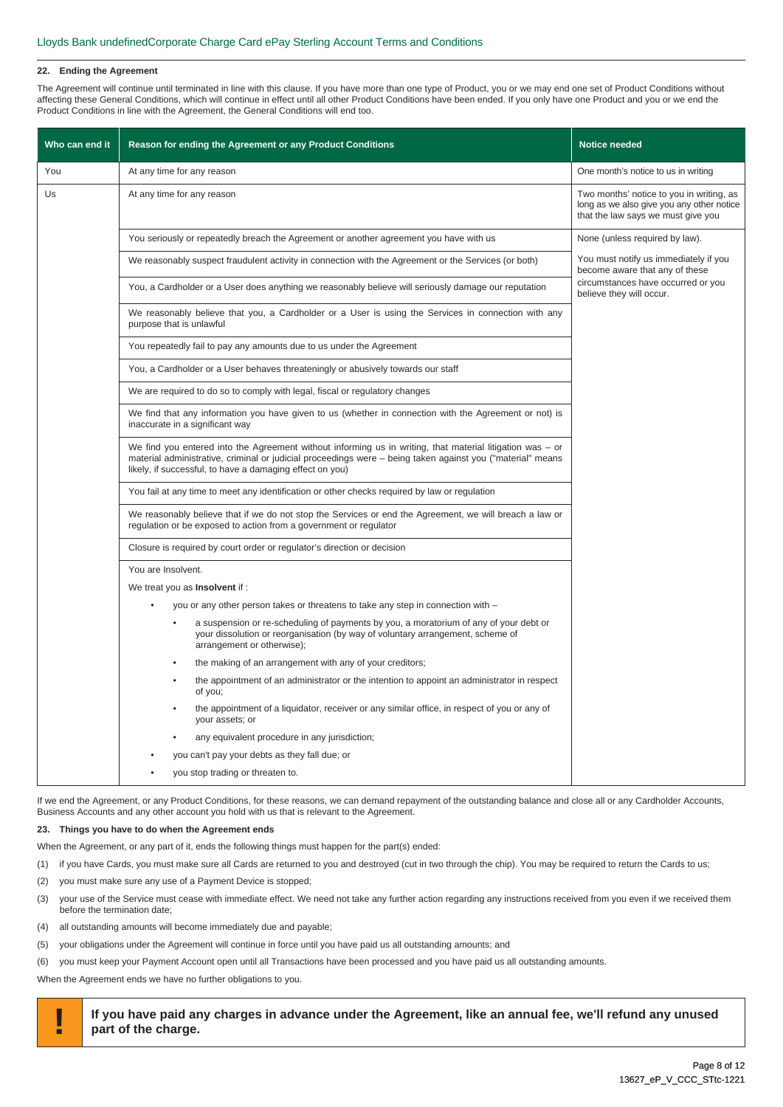#### **22. Ending the Agreement**

The Agreement will continue until terminated in line with this clause. If you have more than one type of Product, you or we may end one set of Product Conditions without affecting these General Conditions, which will continue in effect until all other Product Conditions have been ended. If you only have one Product and you or we end the Product Conditions in line with the Agreement, the General Conditions will end too.

| Who can end it | Reason for ending the Agreement or any Product Conditions                                                                                                                                                                                                                             | <b>Notice needed</b>                                                                                                        |
|----------------|---------------------------------------------------------------------------------------------------------------------------------------------------------------------------------------------------------------------------------------------------------------------------------------|-----------------------------------------------------------------------------------------------------------------------------|
| You            | At any time for any reason                                                                                                                                                                                                                                                            | One month's notice to us in writing                                                                                         |
| Us             | At any time for any reason                                                                                                                                                                                                                                                            | Two months' notice to you in writing, as<br>long as we also give you any other notice<br>that the law says we must give you |
|                | You seriously or repeatedly breach the Agreement or another agreement you have with us                                                                                                                                                                                                | None (unless required by law).                                                                                              |
|                | We reasonably suspect fraudulent activity in connection with the Agreement or the Services (or both)                                                                                                                                                                                  | You must notify us immediately if you<br>become aware that any of these                                                     |
|                | You, a Cardholder or a User does anything we reasonably believe will seriously damage our reputation                                                                                                                                                                                  | circumstances have occurred or you<br>believe they will occur.                                                              |
|                | We reasonably believe that you, a Cardholder or a User is using the Services in connection with any<br>purpose that is unlawful                                                                                                                                                       |                                                                                                                             |
|                | You repeatedly fail to pay any amounts due to us under the Agreement                                                                                                                                                                                                                  |                                                                                                                             |
|                | You, a Cardholder or a User behaves threateningly or abusively towards our staff                                                                                                                                                                                                      |                                                                                                                             |
|                | We are required to do so to comply with legal, fiscal or regulatory changes                                                                                                                                                                                                           |                                                                                                                             |
|                | We find that any information you have given to us (whether in connection with the Agreement or not) is<br>inaccurate in a significant way                                                                                                                                             |                                                                                                                             |
|                | We find you entered into the Agreement without informing us in writing, that material litigation was $-$ or<br>material administrative, criminal or judicial proceedings were - being taken against you ("material" means<br>likely, if successful, to have a damaging effect on you) |                                                                                                                             |
|                | You fail at any time to meet any identification or other checks required by law or regulation                                                                                                                                                                                         |                                                                                                                             |
|                | We reasonably believe that if we do not stop the Services or end the Agreement, we will breach a law or<br>regulation or be exposed to action from a government or regulator                                                                                                          |                                                                                                                             |
|                | Closure is required by court order or regulator's direction or decision                                                                                                                                                                                                               |                                                                                                                             |
|                | You are Insolvent.                                                                                                                                                                                                                                                                    |                                                                                                                             |
|                | We treat you as <b>Insolvent</b> if:                                                                                                                                                                                                                                                  |                                                                                                                             |
|                | you or any other person takes or threatens to take any step in connection with -                                                                                                                                                                                                      |                                                                                                                             |
|                | a suspension or re-scheduling of payments by you, a moratorium of any of your debt or<br>your dissolution or reorganisation (by way of voluntary arrangement, scheme of<br>arrangement or otherwise);                                                                                 |                                                                                                                             |
|                | the making of an arrangement with any of your creditors;                                                                                                                                                                                                                              |                                                                                                                             |
|                | the appointment of an administrator or the intention to appoint an administrator in respect<br>of you;                                                                                                                                                                                |                                                                                                                             |
|                | the appointment of a liquidator, receiver or any similar office, in respect of you or any of<br>your assets; or                                                                                                                                                                       |                                                                                                                             |
|                | any equivalent procedure in any jurisdiction;                                                                                                                                                                                                                                         |                                                                                                                             |
|                | you can't pay your debts as they fall due; or                                                                                                                                                                                                                                         |                                                                                                                             |
|                | you stop trading or threaten to.                                                                                                                                                                                                                                                      |                                                                                                                             |

If we end the Agreement, or any Product Conditions, for these reasons, we can demand repayment of the outstanding balance and close all or any Cardholder Accounts, Business Accounts and any other account you hold with us that is relevant to the Agreement.

## **23. Things you have to do when the Agreement ends**

When the Agreement, or any part of it, ends the following things must happen for the part(s) ended:

- (1) if you have Cards, you must make sure all Cards are returned to you and destroyed (cut in two through the chip). You may be required to return the Cards to us;
- (2) you must make sure any use of a Payment Device is stopped;
- (3) your use of the Service must cease with immediate effect. We need not take any further action regarding any instructions received from you even if we received them before the termination date;
- (4) all outstanding amounts will become immediately due and payable;
- (5) your obligations under the Agreement will continue in force until you have paid us all outstanding amounts; and
- (6) you must keep your Payment Account open until all Transactions have been processed and you have paid us all outstanding amounts.

When the Agreement ends we have no further obligations to you.

**! If you have paid any charges in advance under the Agreement, like an annual fee, we'll refund any unused part of the charge.**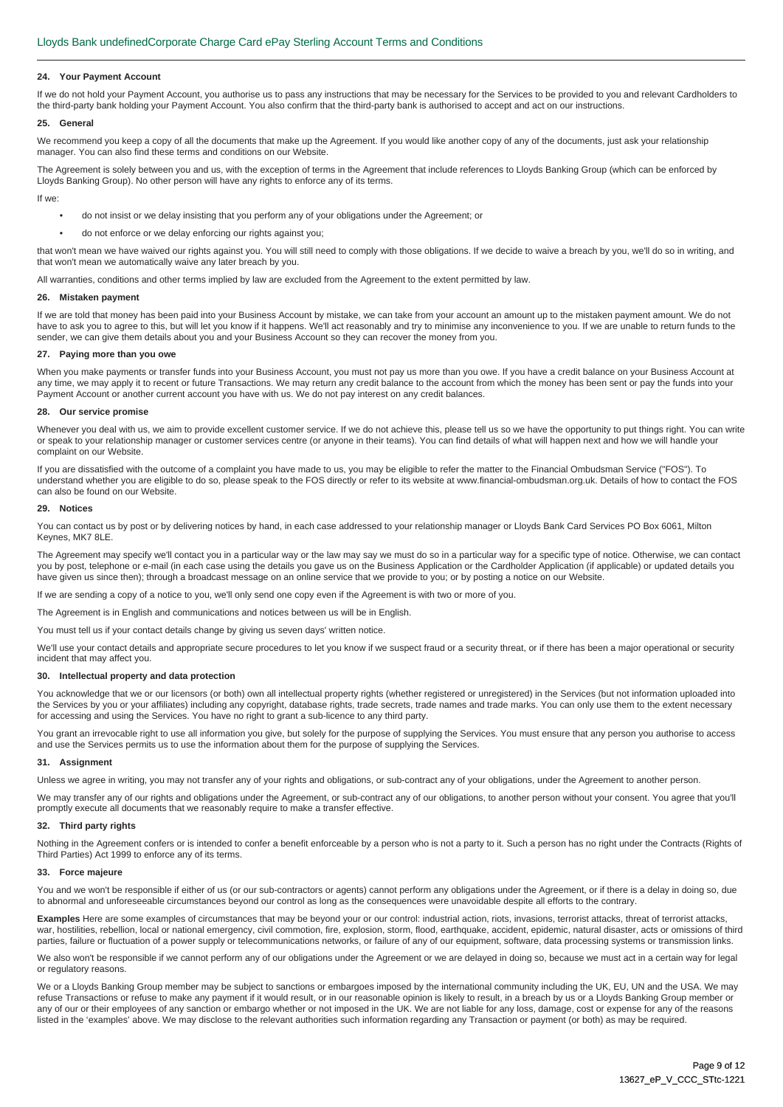#### **24. Your Payment Account**

If we do not hold your Payment Account, you authorise us to pass any instructions that may be necessary for the Services to be provided to you and relevant Cardholders to the third-party bank holding your Payment Account. You also confirm that the third-party bank is authorised to accept and act on our instructions.

#### **25. General**

We recommend you keep a copy of all the documents that make up the Agreement. If you would like another copy of any of the documents, just ask your relationship manager. You can also find these terms and conditions on our Website.

The Agreement is solely between you and us, with the exception of terms in the Agreement that include references to Lloyds Banking Group (which can be enforced by Lloyds Banking Group). No other person will have any rights to enforce any of its terms.

If we:

- do not insist or we delay insisting that you perform any of your obligations under the Agreement; or
- do not enforce or we delay enforcing our rights against you;

that won't mean we have waived our rights against you. You will still need to comply with those obligations. If we decide to waive a breach by you, we'll do so in writing, and that won't mean we automatically waive any later breach by you.

All warranties, conditions and other terms implied by law are excluded from the Agreement to the extent permitted by law.

#### **26. Mistaken payment**

If we are told that money has been paid into your Business Account by mistake, we can take from your account an amount up to the mistaken payment amount. We do not have to ask you to agree to this, but will let you know if it happens. We'll act reasonably and try to minimise any inconvenience to you. If we are unable to return funds to the sender, we can give them details about you and your Business Account so they can recover the money from you.

#### **27. Paying more than you owe**

When you make payments or transfer funds into your Business Account, you must not pay us more than you owe. If you have a credit balance on your Business Account at any time, we may apply it to recent or future Transactions. We may return any credit balance to the account from which the money has been sent or pay the funds into your Payment Account or another current account you have with us. We do not pay interest on any credit balances.

#### **28. Our service promise**

Whenever vou deal with us, we aim to provide excellent customer service. If we do not achieve this, please tell us so we have the opportunity to put things right. You can write or speak to your relationship manager or customer services centre (or anyone in their teams). You can find details of what will happen next and how we will handle your complaint on our Website.

If you are dissatisfied with the outcome of a complaint you have made to us, you may be eligible to refer the matter to the Financial Ombudsman Service ("FOS"). To understand whether you are eligible to do so, please speak to the FOS directly or refer to its website at www.financial-ombudsman.org.uk. Details of how to contact the FOS can also be found on our Website.

#### **29. Notices**

You can contact us by post or by delivering notices by hand, in each case addressed to your relationship manager or Lloyds Bank Card Services PO Box 6061, Milton Keynes, MK7 8LE.

The Agreement may specify we'll contact you in a particular way or the law may say we must do so in a particular way for a specific type of notice. Otherwise, we can contact you by post, telephone or e-mail (in each case using the details you gave us on the Business Application or the Cardholder Application (if applicable) or updated details you have given us since then); through a broadcast message on an online service that we provide to you; or by posting a notice on our Website.

If we are sending a copy of a notice to you, we'll only send one copy even if the Agreement is with two or more of you.

The Agreement is in English and communications and notices between us will be in English.

You must tell us if your contact details change by giving us seven days' written notice.

We'll use your contact details and appropriate secure procedures to let you know if we suspect fraud or a security threat, or if there has been a major operational or security incident that may affect you.

#### **30. Intellectual property and data protection**

You acknowledge that we or our licensors (or both) own all intellectual property rights (whether registered or unregistered) in the Services (but not information uploaded into the Services by you or your affiliates) including any copyright, database rights, trade secrets, trade names and trade marks. You can only use them to the extent necessary for accessing and using the Services. You have no right to grant a sub-licence to any third party.

You grant an irrevocable right to use all information you give, but solely for the purpose of supplying the Services. You must ensure that any person you authorise to access and use the Services permits us to use the information about them for the purpose of supplying the Services.

#### **31. Assignment**

Unless we agree in writing, you may not transfer any of your rights and obligations, or sub-contract any of your obligations, under the Agreement to another person.

We may transfer any of our rights and obligations under the Agreement, or sub-contract any of our obligations, to another person without your consent. You agree that you'll promptly execute all documents that we reasonably require to make a transfer effective.

#### **32. Third party rights**

Nothing in the Agreement confers or is intended to confer a benefit enforceable by a person who is not a party to it. Such a person has no right under the Contracts (Rights of Third Parties) Act 1999 to enforce any of its terms.

#### **33. Force majeure**

You and we won't be responsible if either of us (or our sub-contractors or agents) cannot perform any obligations under the Agreement, or if there is a delay in doing so, due to abnormal and unforeseeable circumstances beyond our control as long as the consequences were unavoidable despite all efforts to the contrary.

**Examples** Here are some examples of circumstances that may be beyond your or our control: industrial action, riots, invasions, terrorist attacks, threat of terrorist attacks, war, hostilities, rebellion, local or national emergency, civil commotion, fire, explosion, storm, flood, earthquake, accident, epidemic, natural disaster, acts or omissions of third parties, failure or fluctuation of a power supply or telecommunications networks, or failure of any of our equipment, software, data processing systems or transmission links.

We also won't be responsible if we cannot perform any of our obligations under the Agreement or we are delayed in doing so, because we must act in a certain way for legal or regulatory reasons.

We or a Lloyds Banking Group member may be subject to sanctions or embargoes imposed by the international community including the UK, EU, UN and the USA. We may refuse Transactions or refuse to make any payment if it would result, or in our reasonable opinion is likely to result, in a breach by us or a Lloyds Banking Group member or any of our or their employees of any sanction or embargo whether or not imposed in the UK. We are not liable for any loss, damage, cost or expense for any of the reasons listed in the 'examples' above. We may disclose to the relevant authorities such information regarding any Transaction or payment (or both) as may be required.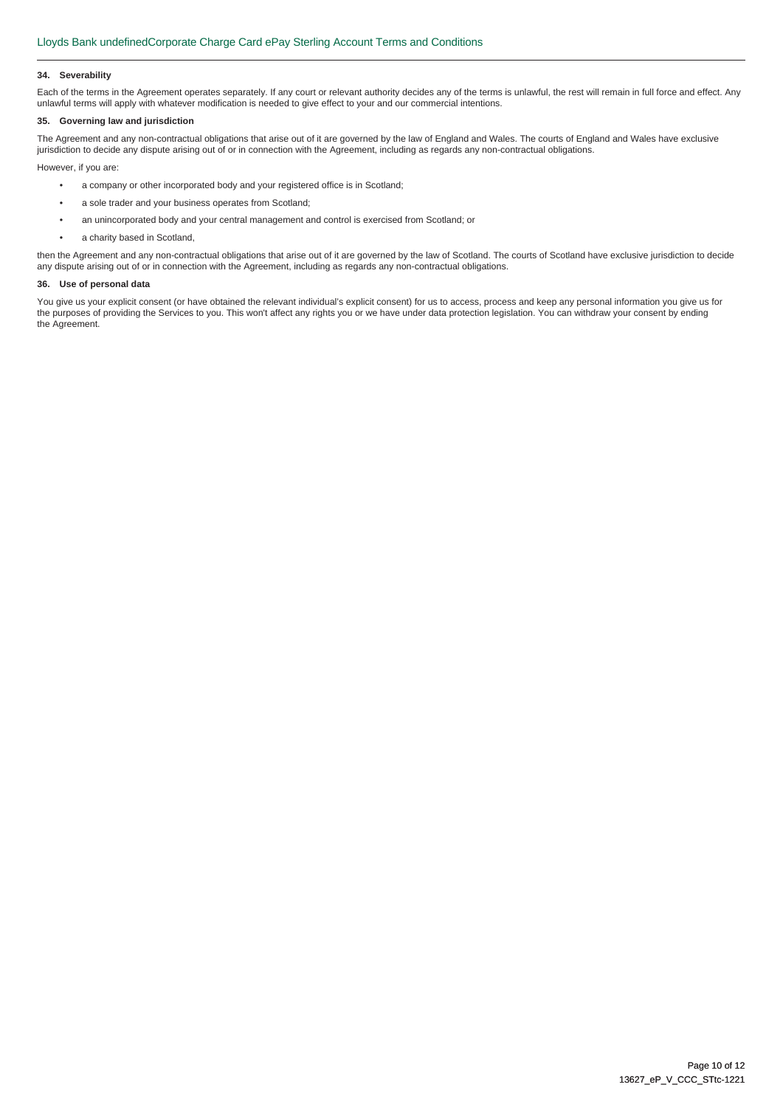#### **34. Severability**

Each of the terms in the Agreement operates separately. If any court or relevant authority decides any of the terms is unlawful, the rest will remain in full force and effect. Any unlawful terms will apply with whatever modification is needed to give effect to your and our commercial intentions.

### **35. Governing law and jurisdiction**

The Agreement and any non-contractual obligations that arise out of it are governed by the law of England and Wales. The courts of England and Wales have exclusive jurisdiction to decide any dispute arising out of or in connection with the Agreement, including as regards any non-contractual obligations.

However, if you are:

- a company or other incorporated body and your registered office is in Scotland;
- a sole trader and your business operates from Scotland;
- an unincorporated body and your central management and control is exercised from Scotland; or
- a charity based in Scotland,

then the Agreement and any non-contractual obligations that arise out of it are governed by the law of Scotland. The courts of Scotland have exclusive jurisdiction to decide any dispute arising out of or in connection with the Agreement, including as regards any non-contractual obligations.

#### **36. Use of personal data**

You give us your explicit consent (or have obtained the relevant individual's explicit consent) for us to access, process and keep any personal information you give us for the purposes of providing the Services to you. This won't affect any rights you or we have under data protection legislation. You can withdraw your consent by ending the Agreement.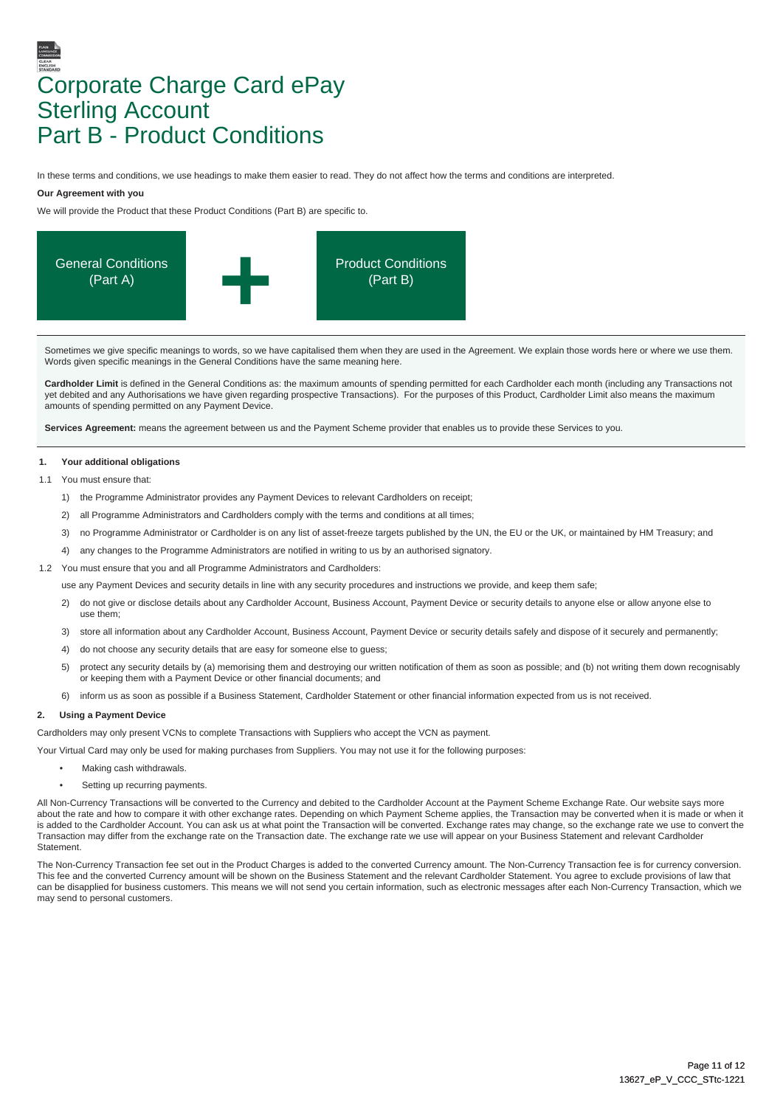# Corporate Charge Card ePay Sterling Account Part B - Product Conditions

In these terms and conditions, we use headings to make them easier to read. They do not affect how the terms and conditions are interpreted.

#### **Our Agreement with you**

We will provide the Product that these Product Conditions (Part B) are specific to.



Sometimes we give specific meanings to words, so we have capitalised them when they are used in the Agreement. We explain those words here or where we use them. Words given specific meanings in the General Conditions have the same meaning here.

**Cardholder Limit** is defined in the General Conditions as: the maximum amounts of spending permitted for each Cardholder each month (including any Transactions not yet debited and any Authorisations we have given regarding prospective Transactions). For the purposes of this Product, Cardholder Limit also means the maximum amounts of spending permitted on any Payment Device.

Services Agreement: means the agreement between us and the Payment Scheme provider that enables us to provide these Services to you.

#### **1. Your additional obligations**

1.1 You must ensure that

- 1) the Programme Administrator provides any Payment Devices to relevant Cardholders on receipt;
- 2) all Programme Administrators and Cardholders comply with the terms and conditions at all times;
- 3) no Programme Administrator or Cardholder is on any list of asset-freeze targets published by the UN, the EU or the UK, or maintained by HM Treasury; and
- 4) any changes to the Programme Administrators are notified in writing to us by an authorised signatory.
- 1.2 You must ensure that you and all Programme Administrators and Cardholders:

use any Payment Devices and security details in line with any security procedures and instructions we provide, and keep them safe;

- 2) do not give or disclose details about any Cardholder Account, Business Account, Payment Device or security details to anyone else or allow anyone else to use them;
- 3) store all information about any Cardholder Account, Business Account, Payment Device or security details safely and dispose of it securely and permanently;
- 4) do not choose any security details that are easy for someone else to guess;
- 5) protect any security details by (a) memorising them and destroying our written notification of them as soon as possible; and (b) not writing them down recognisably or keeping them with a Payment Device or other financial documents; and
- 6) inform us as soon as possible if a Business Statement, Cardholder Statement or other financial information expected from us is not received.

### **2. Using a Payment Device**

Cardholders may only present VCNs to complete Transactions with Suppliers who accept the VCN as payment.

Your Virtual Card may only be used for making purchases from Suppliers. You may not use it for the following purposes:

- Making cash withdrawals.
- Setting up recurring payments.

All Non-Currency Transactions will be converted to the Currency and debited to the Cardholder Account at the Payment Scheme Exchange Rate. Our website says more about the rate and how to compare it with other exchange rates. Depending on which Payment Scheme applies, the Transaction may be converted when it is made or when it is added to the Cardholder Account. You can ask us at what point the Transaction will be converted. Exchange rates may change, so the exchange rate we use to convert the Transaction may differ from the exchange rate on the Transaction date. The exchange rate we use will appear on your Business Statement and relevant Cardholder **Statement** 

The Non-Currency Transaction fee set out in the Product Charges is added to the converted Currency amount. The Non-Currency Transaction fee is for currency conversion. This fee and the converted Currency amount will be shown on the Business Statement and the relevant Cardholder Statement. You agree to exclude provisions of law that can be disapplied for business customers. This means we will not send you certain information, such as electronic messages after each Non-Currency Transaction, which we may send to personal customers.